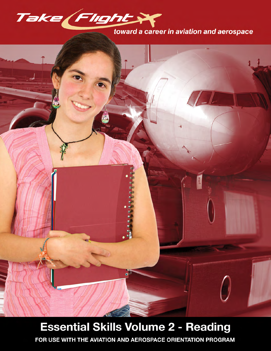

## toward a career in aviation and aerospace



# **Essential Skills Volume 2 - Reading**

FOR USE WITH THE AVIATION AND AEROSPACE ORIENTATION PROGRAM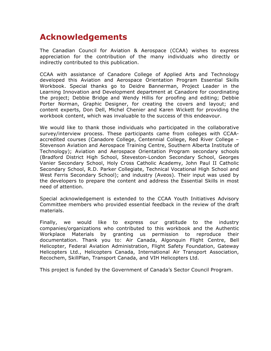## **Acknowledgements**

The Canadian Council for Aviation & Aerospace (CCAA) wishes to express appreciation for the contribution of the many individuals who directly or indirectly contributed to this publication.

CCAA with assistance of Canadore College of Applied Arts and Technology developed this Aviation and Aerospace Orientation Program Essential Skills Workbook. Special thanks go to Deidre Bannerman, Project Leader in the Learning Innovation and Development department at Canadore for coordinating the project; Debbie Bridge and Wendy Hillis for proofing and editing; Debbie Porter Norman, Graphic Designer, for creating the covers and layout; and content experts, Don Dell, Michel Chenier and Karen Wickett for providing the workbook content, which was invaluable to the success of this endeavour.

We would like to thank those individuals who participated in the collaborative survey/interview process. These participants came from colleges with CCAAaccredited courses (Canadore College, Centennial College, Red River College – Stevenson Aviation and Aerospace Training Centre, Southern Alberta Institute of Technology); Aviation and Aerospace Orientation Program secondary schools (Bradford District High School, Steveston-London Secondary School, Georges Vanier Secondary School, Holy Cross Catholic Academy, John Paul II Catholic Secondary School, R.D. Parker Collegiate, Technical Vocational High School and West Ferris Secondary School); and industry (Aveos). Their input was used by the developers to prepare the content and address the Essential Skills in most need of attention.

Special acknowledgement is extended to the CCAA Youth Initiatives Advisory Committee members who provided essential feedback in the review of the draft materials.

Finally, we would like to express our gratitude to the industry companies/organizations who contributed to this workbook and the Authentic Workplace Materials by granting us permission to reproduce their documentation. Thank you to: Air Canada, Algonquin Flight Centre, Bell Helicopter, Federal Aviation Administration, Flight Safety Foundation, Gateway Helicopters Ltd., Helicopters Canada, International Air Transport Association, Recochem, SkillPlan, Transport Canada, and VIH Helicopters Ltd.

This project is funded by the Government of Canada's Sector Council Program.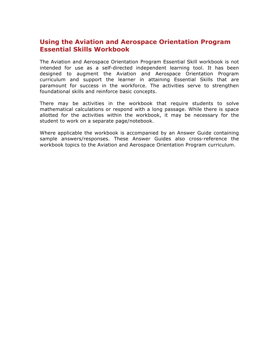## **Using the Aviation and Aerospace Orientation Program Essential Skills Workbook**

The Aviation and Aerospace Orientation Program Essential Skill workbook is not intended for use as a self-directed independent learning tool. It has been designed to augment the Aviation and Aerospace Orientation Program curriculum and support the learner in attaining Essential Skills that are paramount for success in the workforce. The activities serve to strengthen foundational skills and reinforce basic concepts.

There may be activities in the workbook that require students to solve mathematical calculations or respond with a long passage. While there is space allotted for the activities within the workbook, it may be necessary for the student to work on a separate page/notebook.

Where applicable the workbook is accompanied by an Answer Guide containing sample answers/responses. These Answer Guides also cross-reference the workbook topics to the Aviation and Aerospace Orientation Program curriculum.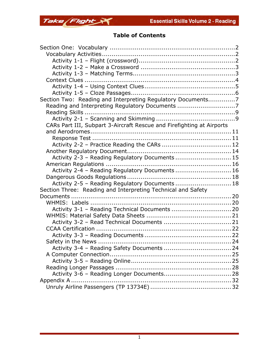

## **Table of Contents**

| Section Two: Reading and Interpreting Regulatory Documents7           |  |
|-----------------------------------------------------------------------|--|
| Reading and Interpreting Regulatory Documents 7                       |  |
|                                                                       |  |
|                                                                       |  |
| CARs Part III, Subpart 3-Aircraft Rescue and Firefighting at Airports |  |
|                                                                       |  |
|                                                                       |  |
| Activity 2-2 - Practice Reading the CARs  12                          |  |
|                                                                       |  |
| Activity 2-3 - Reading Regulatory Documents  15                       |  |
|                                                                       |  |
| Activity 2-4 - Reading Regulatory Documents  16                       |  |
|                                                                       |  |
| Activity 2-5 - Reading Regulatory Documents  18                       |  |
| Section Three: Reading and Interpreting Technical and Safety          |  |
|                                                                       |  |
|                                                                       |  |
| Activity 3-1 - Reading Technical Documents  20                        |  |
|                                                                       |  |
|                                                                       |  |
|                                                                       |  |
|                                                                       |  |
|                                                                       |  |
|                                                                       |  |
|                                                                       |  |
|                                                                       |  |
|                                                                       |  |
|                                                                       |  |
|                                                                       |  |
|                                                                       |  |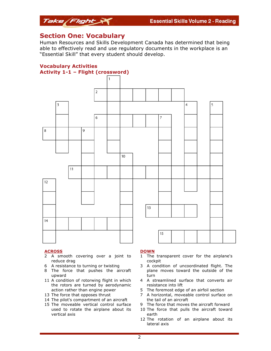

### **Section One: Vocabulary**

Human Resources and Skills Development Canada has determined that being able to effectively read and use regulatory documents in the workplace is an "Essential Skill" that every student should develop.



#### **ACROSS**

- 2 A smooth covering over a joint to reduce drag
- 6 A resistance to turning or twisting
- 8 The force that pushes the aircraft upward
- 11 A condition of rotorwing flight in which the rotors are turned by aerodynamic action rather than engine power
- 13 The force that opposes thrust
- 14 The pilot's compartment of an aircraft
- 15 The moveable vertical control surface used to rotate the airplane about its vertical axis

#### **DOWN**

- 1 The transparent cover for the airplane's cockpit
- 3 A condition of uncoordinated flight. The plane moves toward the outside of the turn
- 4 A streamlined surface that converts air resistance into lift
- 5 The foremost edge of an airfoil section
- 7 A horizontal, moveable control surface on the tail of an aircraft
- 9 The force that moves the aircraft forward
- 10 The force that pulls the aircraft toward earth
- 12 The rotation of an airplane about its lateral axis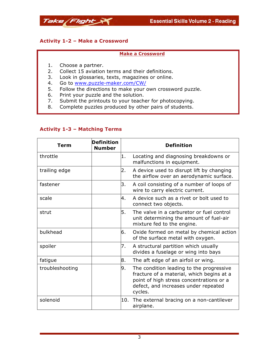



#### **Activity 1-2 – Make a Crossword**

#### **Make a Crossword**

- 1. Choose a partner.
- 2. Collect 15 aviation terms and their definitions.
- 3. Look in glossaries, texts, magazines or online.
- 4. Go to www.puzzle-maker.com/CW/
- 5. Follow the directions to make your own crossword puzzle.
- 6. Print your puzzle and the solution.
- 7. Submit the printouts to your teacher for photocopying.
- 8. Complete puzzles produced by other pairs of students.

| Term            | <b>Definition</b><br><b>Number</b> |     | <b>Definition</b>                                                                                                                                                                    |
|-----------------|------------------------------------|-----|--------------------------------------------------------------------------------------------------------------------------------------------------------------------------------------|
| throttle        |                                    | 1.  | Locating and diagnosing breakdowns or<br>malfunctions in equipment.                                                                                                                  |
| trailing edge   |                                    | 2.  | A device used to disrupt lift by changing<br>the airflow over an aerodynamic surface.                                                                                                |
| fastener        |                                    | 3.  | A coil consisting of a number of loops of<br>wire to carry electric current.                                                                                                         |
| scale           |                                    | 4.  | A device such as a rivet or bolt used to<br>connect two objects.                                                                                                                     |
| strut           |                                    | 5.  | The valve in a carburetor or fuel control<br>unit determining the amount of fuel-air<br>mixture fed to the engine.                                                                   |
| bulkhead        |                                    | 6.  | Oxide formed on metal by chemical action<br>of the surface metal with oxygen.                                                                                                        |
| spoiler         |                                    | 7.  | A structural partition which usually<br>divides a fuselage or wing into bays                                                                                                         |
| fatigue         |                                    | 8.  | The aft edge of an airfoil or wing.                                                                                                                                                  |
| troubleshooting |                                    | 9.  | The condition leading to the progressive<br>fracture of a material, which begins at a<br>point of high stress concentrations or a<br>defect, and increases under repeated<br>cycles. |
| solenoid        |                                    | 10. | The external bracing on a non-cantilever<br>airplane.                                                                                                                                |

#### **Activity 1-3 – Matching Terms**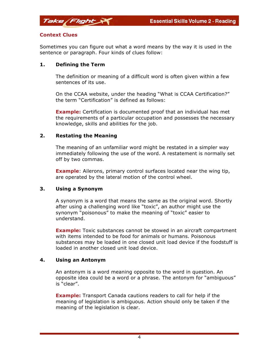

Sometimes you can figure out what a word means by the way it is used in the sentence or paragraph. Four kinds of clues follow:

#### **1. Defining the Term**

Take Flight

The definition or meaning of a difficult word is often given within a few sentences of its use.

On the CCAA website, under the heading "What is CCAA Certification?" the term "Certification" is defined as follows:

**Example:** Certification is documented proof that an individual has met the requirements of a particular occupation and possesses the necessary knowledge, skills and abilities for the job.

#### **2. Restating the Meaning**

The meaning of an unfamiliar word might be restated in a simpler way immediately following the use of the word. A restatement is normally set off by two commas.

**Example**: Ailerons, primary control surfaces located near the wing tip, are operated by the lateral motion of the control wheel.

#### **3. Using a Synonym**

A synonym is a word that means the same as the original word. Shortly after using a challenging word like "toxic", an author might use the synonym "poisonous" to make the meaning of "toxic" easier to understand.

**Example:** Toxic substances cannot be stowed in an aircraft compartment with items intended to be food for animals or humans. Poisonous substances may be loaded in one closed unit load device if the foodstuff is loaded in another closed unit load device.

#### **4. Using an Antonym**

An antonym is a word meaning opposite to the word in question. An opposite idea could be a word or a phrase. The antonym for "ambiguous" is "clear".

**Example:** Transport Canada cautions readers to call for help if the meaning of legislation is ambiguous. Action should only be taken if the meaning of the legislation is clear.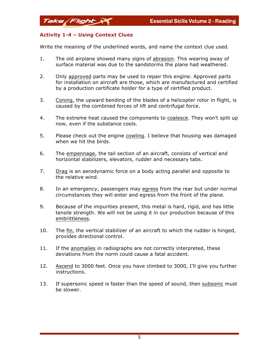#### **Activity 1-4 – Using Context Clues**

Take Flight

Write the meaning of the underlined words, and name the context clue used.

- 1. The old airplane showed many signs of abrasion. This wearing away of surface material was due to the sandstorms the plane had weathered.
- 2. Only approved parts may be used to repair this engine. Approved parts for installation on aircraft are those, which are manufactured and certified by a production certificate holder for a type of certified product.
- 3. Coning, the upward bending of the blades of a helicopter rotor in flight, is caused by the combined forces of lift and centrifugal force.
- 4. The extreme heat caused the components to coalesce. They won't split up now, even if the substance cools.
- 5. Please check out the engine cowling. I believe that housing was damaged when we hit the birds.
- 6. The empennage, the tail section of an aircraft, consists of vertical and horizontal stabilizers, elevators, rudder and necessary tabs.
- 7. Drag is an aerodynamic force on a body acting parallel and opposite to the relative wind.
- 8. In an emergency, passengers may egress from the rear but under normal circumstances they will enter and egress from the front of the plane.
- 9. Because of the impurities present, this metal is hard, rigid, and has little tensile strength. We will not be using it in our production because of this embrittleness.
- 10. The fin, the vertical stabilizer of an aircraft to which the rudder is hinged, provides directional control.
- 11. If the anomalies in radiographs are not correctly interpreted, these deviations from the norm could cause a fatal accident.
- 12. Ascend to 3000 feet. Once you have climbed to 3000, I'll give you further instructions.
- 13. If supersonic speed is faster than the speed of sound, then subsonic must be slower.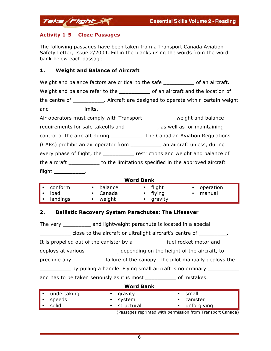#### **Activity 1-5 – Cloze Passages**

Take Flight

The following passages have been taken from a Transport Canada Aviation Safety Letter, Issue 2/2004. Fill in the blanks using the words from the word bank below each passage.

#### **1. Weight and Balance of Aircraft**

|                                                                                  | Weight and balance factors are critical to the safe ____________ of an aircraft.   |
|----------------------------------------------------------------------------------|------------------------------------------------------------------------------------|
|                                                                                  | Weight and balance refer to the ______________ of an aircraft and the location of  |
|                                                                                  | the centre of ____________. Aircraft are designed to operate within certain weight |
| and ____________ limits.                                                         |                                                                                    |
| Air operators must comply with Transport __________ weight and balance           |                                                                                    |
| requirements for safe takeoffs and ___________, as well as for maintaining       |                                                                                    |
|                                                                                  | control of the aircraft during _____________. The Canadian Aviation Regulations    |
|                                                                                  |                                                                                    |
|                                                                                  | every phase of flight, the __________ restrictions and weight and balance of       |
| the aircraft _____________ to the limitations specified in the approved aircraft |                                                                                    |
| $flight$ _____________.                                                          |                                                                                    |

### **Word Bank**

| $\  \cdot \ $ conform | • balance | $\cdot$ flight | • operation |
|-----------------------|-----------|----------------|-------------|
| $\blacksquare$ • load | • Canada  | $\cdot$ flying | • manual    |
| $\ \cdot\ $ landings  | weight    | • gravity      |             |

#### **2. Ballistic Recovery System Parachutes: The Lifesaver**

The very \_\_\_\_\_\_\_\_\_ and lightweight parachute is located in a special \_\_\_\_\_\_\_\_\_\_ close to the aircraft or ultralight aircraft's centre of \_\_\_\_\_\_\_\_\_. It is propelled out of the canister by a state of the line ocket motor and deploys at various \_\_\_\_\_\_\_\_\_\_, depending on the height of the aircraft, to preclude any \_\_\_\_\_\_\_\_\_\_ failure of the canopy. The pilot manually deploys the by pulling a handle. Flying small aircraft is no ordinary and has to be taken seriously as it is most \_\_\_\_\_\_\_\_\_\_\_\_ of mistakes. **Word Bank**

| • undertaking | • gravity                                                  | • small       |
|---------------|------------------------------------------------------------|---------------|
| • speeds      | • system                                                   | • canister    |
| '• solid      | • structural                                               | • unforgiving |
|               | (Baccagos roprinted with normission from Transport Canada) |               |

(Passages reprinted with permission from Transport Canada)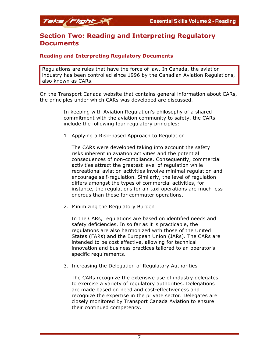## **Section Two: Reading and Interpreting Regulatory Documents**

#### **Reading and Interpreting Regulatory Documents**

Regulations are rules that have the force of law. In Canada, the aviation industry has been controlled since 1996 by the Canadian Aviation Regulations, also known as CARs.

On the Transport Canada website that contains general information about CARs, the principles under which CARs was developed are discussed.

> In keeping with Aviation Regulation's philosophy of a shared commitment with the aviation community to safety, the CARs include the following four regulatory principles:

1. Applying a Risk-based Approach to Regulation

The CARs were developed taking into account the safety risks inherent in aviation activities and the potential consequences of non-compliance. Consequently, commercial activities attract the greatest level of regulation while recreational aviation activities involve minimal regulation and encourage self-regulation. Similarly, the level of regulation differs amongst the types of commercial activities, for instance, the regulations for air taxi operations are much less onerous than those for commuter operations.

2. Minimizing the Regulatory Burden

In the CARs, regulations are based on identified needs and safety deficiencies. In so far as it is practicable, the regulations are also harmonized with those of the United States (FARs) and the European Union (JARs). The CARs are intended to be cost effective, allowing for technical innovation and business practices tailored to an operator's specific requirements.

3. Increasing the Delegation of Regulatory Authorities

The CARs recognize the extensive use of industry delegates to exercise a variety of regulatory authorities. Delegations are made based on need and cost-effectiveness and recognize the expertise in the private sector. Delegates are closely monitored by Transport Canada Aviation to ensure their continued competency.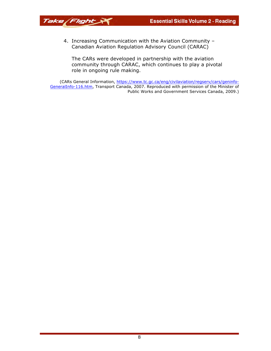4. Increasing Communication with the Aviation Community – Canadian Aviation Regulation Advisory Council (CARAC)

The CARs were developed in partnership with the aviation community through CARAC, which continues to play a pivotal role in ongoing rule making.

(CARs General Information, https://www.tc.gc.ca/eng/civilaviation/regserv/cars/geninfo-GeneralInfo-116.htm, Transport Canada, 2007. Reproduced with permission of the Minister of Public Works and Government Services Canada, 2009.)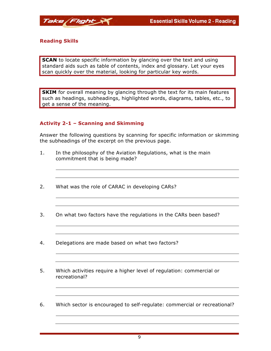

#### **Reading Skills**

**SCAN** to locate specific information by glancing over the text and using standard aids such as table of contents, index and glossary. Let your eyes scan quickly over the material, looking for particular key words.

**SKIM** for overall meaning by glancing through the text for its main features such as headings, subheadings, highlighted words, diagrams, tables, etc., to get a sense of the meaning.

#### **Activity 2-1 – Scanning and Skimming**

Answer the following questions by scanning for specific information or skimming the subheadings of the excerpt on the previous page.

- 1. In the philosophy of the Aviation Regulations, what is the main commitment that is being made?
- 2. What was the role of CARAC in developing CARs?
- 3. On what two factors have the regulations in the CARs been based?
- 4. Delegations are made based on what two factors?
- 5. Which activities require a higher level of regulation: commercial or recreational?
- 6. Which sector is encouraged to self-regulate: commercial or recreational?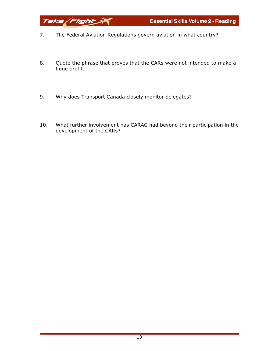- 7. The Federal Aviation Regulations govern aviation in what country?
- 8. Quote the phrase that proves that the CARs were not intended to make a huge profit.
- 9. Why does Transport Canada closely monitor delegates?

10. What further involvement has CARAC had beyond their participation in the development of the CARs?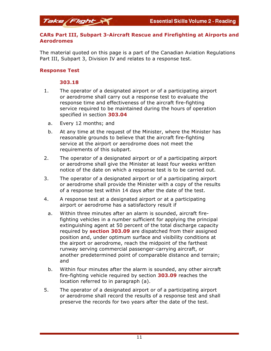#### **CARs Part III, Subpart 3-Aircraft Rescue and Firefighting at Airports and Aerodromes**

The material quoted on this page is a part of the Canadian Aviation Regulations Part III, Subpart 3, Division IV and relates to a response test.

#### **Response Test**

#### **303.18**

Take Flight

- 1. The operator of a designated airport or of a participating airport or aerodrome shall carry out a response test to evaluate the response time and effectiveness of the aircraft fire-fighting service required to be maintained during the hours of operation specified in section **303.04**
	- a. Every 12 months; and
	- b. At any time at the request of the Minister, where the Minister has reasonable grounds to believe that the aircraft fire-fighting service at the airport or aerodrome does not meet the requirements of this subpart.
- 2. The operator of a designated airport or of a participating airport or aerodrome shall give the Minister at least four weeks written notice of the date on which a response test is to be carried out.
- 3. The operator of a designated airport or of a participating airport or aerodrome shall provide the Minister with a copy of the results of a response test within 14 days after the date of the test.
- 4. A response test at a designated airport or at a participating airport or aerodrome has a satisfactory result if
	- a. Within three minutes after an alarm is sounded, aircraft firefighting vehicles in a number sufficient for applying the principal extinguishing agent at 50 percent of the total discharge capacity required by **section 303.09** are dispatched from their assigned position and, under optimum surface and visibility conditions at the airport or aerodrome, reach the midpoint of the farthest runway serving commercial passenger-carrying aircraft, or another predetermined point of comparable distance and terrain; and
	- b. Within four minutes after the alarm is sounded, any other aircraft fire-fighting vehicle required by section **303.09** reaches the location referred to in paragraph (a).
- 5. The operator of a designated airport or of a participating airport or aerodrome shall record the results of a response test and shall preserve the records for two years after the date of the test.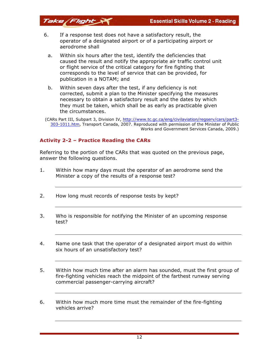**Essential Skills Volume 2 - Reading** 

- 6. If a response test does not have a satisfactory result, the operator of a designated airport or of a participating airport or aerodrome shall
	- a. Within six hours after the test, identify the deficiencies that caused the result and notify the appropriate air traffic control unit or flight service of the critical category for fire fighting that corresponds to the level of service that can be provided, for publication in a NOTAM; and
	- b. Within seven days after the test, if any deficiency is not corrected, submit a plan to the Minister specifying the measures necessary to obtain a satisfactory result and the dates by which they must be taken, which shall be as early as practicable given the circumstances.

(CARs Part III, Subpart 3, Division IV, http://www.tc.gc.ca/eng/civilaviation/regserv/cars/part3- 303-1011.htm, Transport Canada, 2007. Reproduced with permission of the Minister of Public Works and Government Services Canada, 2009.)

#### **Activity 2-2 – Practice Reading the CARs**

Take Flight

Referring to the portion of the CARs that was quoted on the previous page, answer the following questions.

- 1. Within how many days must the operator of an aerodrome send the Minister a copy of the results of a response test?
- 2. How long must records of response tests by kept?
- 3. Who is responsible for notifying the Minister of an upcoming response test?
- 4. Name one task that the operator of a designated airport must do within six hours of an unsatisfactory test?
- 5. Within how much time after an alarm has sounded, must the first group of fire-fighting vehicles reach the midpoint of the farthest runway serving commercial passenger-carrying aircraft?
- 6. Within how much more time must the remainder of the fire-fighting vehicles arrive?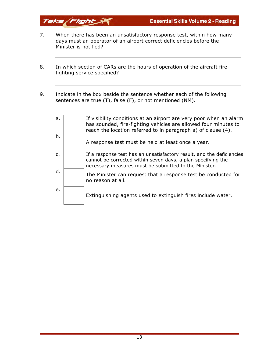7. When there has been an unsatisfactory response test, within how many days must an operator of an airport correct deficiencies before the Minister is notified?

Take Flight

- 8. In which section of CARs are the hours of operation of the aircraft firefighting service specified?
- 9. Indicate in the box beside the sentence whether each of the following sentences are true (T), false (F), or not mentioned (NM).

| a.             | If visibility conditions at an airport are very poor when an alarm<br>has sounded, fire-fighting vehicles are allowed four minutes to<br>reach the location referred to in paragraph a) of clause (4). |
|----------------|--------------------------------------------------------------------------------------------------------------------------------------------------------------------------------------------------------|
| b.             | A response test must be held at least once a year.                                                                                                                                                     |
| $\mathsf{C}$ . | If a response test has an unsatisfactory result, and the deficiencies<br>cannot be corrected within seven days, a plan specifying the<br>necessary measures must be submitted to the Minister.         |
| d.             | The Minister can request that a response test be conducted for<br>no reason at all.                                                                                                                    |
| e.             | Extinguishing agents used to extinguish fires include water.                                                                                                                                           |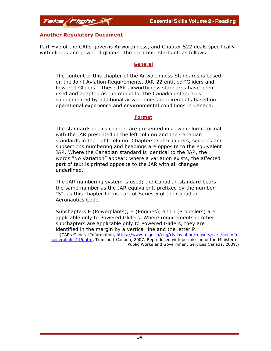#### **Another Regulatory Document**

Take Flight

Part Five of the CARs governs Airworthiness, and Chapter 522 deals specifically with gliders and powered gliders. The preamble starts off as follows:

#### **General**

The content of this chapter of the Airworthiness Standards is based on the Joint Aviation Requirements, JAR-22 entitled "Gliders and Powered Gliders". These JAR airworthiness standards have been used and adapted as the model for the Canadian standards supplemented by additional airworthiness requirements based on operational experience and environmental conditions in Canada.

#### **Format**

The standards in this chapter are presented in a two column format with the JAR presented in the left column and the Canadian standards in the right column. Chapters, sub-chapters, sections and subsections numbering and headings are opposite to the equivalent JAR. Where the Canadian standard is identical to the JAR, the words "No Variation" appear; where a variation exists, the affected part of text is printed opposite to the JAR with all changes underlined.

The JAR numbering system is used; the Canadian standard bears the same number as the JAR equivalent, prefixed by the number "5", as this chapter forms part of Series 5 of the Canadian Aeronautics Code.

Subchapters E (Powerplants), H (Engines), and J (Propellers) are applicable only to Powered Gliders. Where requirements in other subchapters are applicable only to Powered Gliders, they are identified in the margin by a vertical line and the letter P. (CARs General Information, https://www.tc.gc.ca/eng/civilaviation/regserv/cars/geninfogeneralinfo-116.htm, Transport Canada, 2007. Reproduced with permission of the Minister of

Public Works and Government Services Canada, 2009.)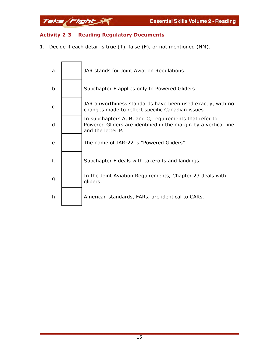### **Activity 2-3 – Reading Regulatory Documents**

Take Flight

1. Decide if each detail is true (T), false (F), or not mentioned (NM).

| a.             | JAR stands for Joint Aviation Regulations.                                                                                                     |
|----------------|------------------------------------------------------------------------------------------------------------------------------------------------|
| b.             | Subchapter F applies only to Powered Gliders.                                                                                                  |
| $\mathsf{C}$ . | JAR airworthiness standards have been used exactly, with no<br>changes made to reflect specific Canadian issues.                               |
| d.             | In subchapters A, B, and C, requirements that refer to<br>Powered Gliders are identified in the margin by a vertical line<br>and the letter P. |
| e.             | The name of JAR-22 is "Powered Gliders".                                                                                                       |
| f.             | Subchapter F deals with take-offs and landings.                                                                                                |
| g.             | In the Joint Aviation Requirements, Chapter 23 deals with<br>gliders.                                                                          |
| h.             | American standards, FARs, are identical to CARs.                                                                                               |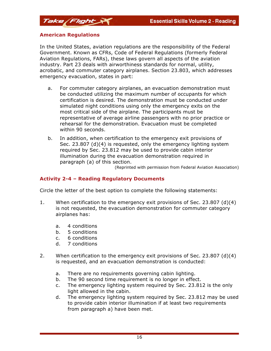#### **American Regulations**

In the United States, aviation regulations are the responsibility of the Federal Government. Known as CFRs, Code of Federal Regulations (formerly Federal Aviation Regulations, FARs), these laws govern all aspects of the aviation industry. Part 23 deals with airworthiness standards for normal, utility, acrobatic, and commuter category airplanes. Section 23.803, which addresses emergency evacuation, states in part:

- a. For commuter category airplanes, an evacuation demonstration must be conducted utilizing the maximum number of occupants for which certification is desired. The demonstration must be conducted under simulated night conditions using only the emergency exits on the most critical side of the airplane. The participants must be representative of average airline passengers with no prior practice or rehearsal for the demonstration. Evacuation must be completed within 90 seconds.
- b. In addition, when certification to the emergency exit provisions of Sec. 23.807 (d)(4) is requested, only the emergency lighting system required by Sec. 23.812 may be used to provide cabin interior illumination during the evacuation demonstration required in paragraph (a) of this section.

(Reprinted with permission from Federal Aviation Association)

#### **Activity 2-4 – Reading Regulatory Documents**

Circle the letter of the best option to complete the following statements:

- 1. When certification to the emergency exit provisions of Sec. 23.807 (d)(4) is not requested, the evacuation demonstration for commuter category airplanes has:
	- a. 4 conditions
	- b. 5 conditions
	- c. 6 conditions
	- d. 7 conditions
- 2. When certification to the emergency exit provisions of Sec. 23.807 (d)(4) is requested, and an evacuation demonstration is conducted:
	- a. There are no requirements governing cabin lighting.
	- b. The 90 second time requirement is no longer in effect.
	- c. The emergency lighting system required by Sec. 23.812 is the only light allowed in the cabin.
	- d. The emergency lighting system required by Sec. 23.812 may be used to provide cabin interior illumination if at least two requirements from paragraph a) have been met.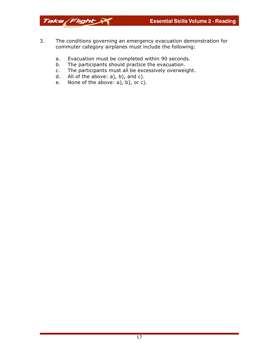**Essential Skills Volume 2 - Reading** 

3. The conditions governing an emergency evacuation demonstration for commuter category airplanes must include the following:

- a. Evacuation must be completed within 90 seconds.
- b. The participants should practice the evacuation.
- c. The participants must all be excessively overweight.
- d. All of the above: a), b), and c).

Take Flight

e. None of the above: a), b), or c).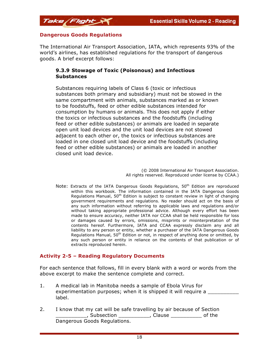

The International Air Transport Association, IATA, which represents 93% of the world's airlines, has established regulations for the transport of dangerous goods. A brief excerpt follows:

#### **9.3.9 Stowage of Toxic (Poisonous) and Infectious Substances**

Substances requiring labels of Class 6 (toxic or infectious substances both primary and subsidiary) must not be stowed in the same compartment with animals, substances marked as or known to be foodstuffs, feed or other edible substances intended for consumption by humans or animals. This does not apply if either the toxics or infectious substances and the foodstuffs (including feed or other edible substances) or animals are loaded in separate open unit load devices and the unit load devices are not stowed adjacent to each other or, the toxics or infectious substances are loaded in one closed unit load device and the foodstuffs (including feed or other edible substances) or animals are loaded in another closed unit load device.

> (© 2008 International Air Transport Association. All rights reserved. Reproduced under license by CCAA.)

Note: Extracts of the IATA Dangerous Goods Regulations,  $50<sup>th</sup>$  Edition are reproduced within this workbook. The information contained in the IATA Dangerous Goods Requlations Manual, 50<sup>th</sup> Edition is subject to constant review in light of changing government requirements and regulations. No reader should act on the basis of any such information without referring to applicable laws and regulations and/or without taking appropriate professional advice. Although every effort has been made to ensure accuracy, neither IATA nor CCAA shall be held responsible for loss or damages caused by errors, omissions, misprints or misinterpretation of the contents hereof. Furthermore, IATA and CCAA expressly disclaim any and all liability to any person or entity, whether a purchaser of the IATA Dangerous Goods Regulations Manual,  $50<sup>th</sup>$  Edition or not, in respect of anything done or omitted, by any such person or entity in reliance on the contents of that publication or of extracts reproduced herein.

#### **Activity 2-5 – Reading Regulatory Documents**

For each sentence that follows, fill in every blank with a word or words from the above excerpt to make the sentence complete and correct.

- 1. A medical lab in Manitoba needs a sample of Ebola Virus for experimentation purposes; when it is shipped it will require a label.
- 2. I know that my cat will be safe travelling by air because of Section \_\_\_\_\_\_\_\_\_\_, Subsection \_\_\_\_\_\_\_\_\_\_, Clause \_\_\_\_\_\_\_\_\_\_ of the Dangerous Goods Regulations.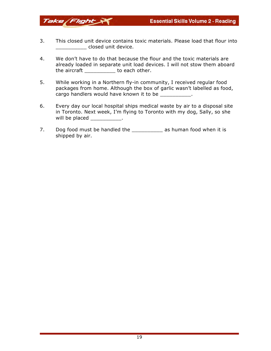3. This closed unit device contains toxic materials. Please load that flour into \_\_\_\_\_\_\_\_\_\_ closed unit device.

Take Flight

- 4. We don't have to do that because the flour and the toxic materials are already loaded in separate unit load devices. I will not stow them aboard the aircraft \_\_\_\_\_\_\_\_\_\_ to each other.
- 5. While working in a Northern fly-in community, I received regular food packages from home. Although the box of garlic wasn't labelled as food, cargo handlers would have known it to be \_\_\_\_\_\_\_\_\_\_\_.
- 6. Every day our local hospital ships medical waste by air to a disposal site in Toronto. Next week, I'm flying to Toronto with my dog, Sally, so she will be placed and the place of the set of the set of the set of the set of the set of the set of the set of the set of the set of the set of the set of the set of the set of the set of the set of the set of the set of the
- 7. Dog food must be handled the Theorem as human food when it is shipped by air.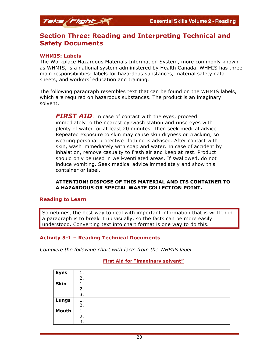

#### **WHMIS: Labels**

Take Flight

The Workplace Hazardous Materials Information System, more commonly known as WHMIS, is a national system administered by Health Canada. WHMIS has three main responsibilities: labels for hazardous substances, material safety data sheets, and workers' education and training.

The following paragraph resembles text that can be found on the WHMIS labels, which are required on hazardous substances. The product is an imaginary solvent.

**FIRST AID**: In case of contact with the eyes, proceed immediately to the nearest eyewash station and rinse eyes with plenty of water for at least 20 minutes. Then seek medical advice. Repeated exposure to skin may cause skin dryness or cracking, so wearing personal protective clothing is advised. After contact with skin, wash immediately with soap and water. In case of accident by inhalation, remove casualty to fresh air and keep at rest. Product should only be used in well-ventilated areas. If swallowed, do not induce vomiting. Seek medical advice immediately and show this container or label.

#### **ATTENTION! DISPOSE OF THIS MATERIAL AND ITS CONTAINER TO A HAZARDOUS OR SPECIAL WASTE COLLECTION POINT.**

#### **Reading to Learn**

Sometimes, the best way to deal with important information that is written in a paragraph is to break it up visually, so the facts can be more easily understood. Converting text into chart format is one way to do this.

#### **Activity 3-1 – Reading Technical Documents**

*Complete the following chart with facts from the WHMIS label.*

#### **First Aid for "imaginary solvent"**

| <b>Eyes</b> | 1. |
|-------------|----|
|             | 2. |
| <b>Skin</b> | 1. |
|             | 2. |
|             | 3. |
| Lungs       | 1. |
|             | 2. |
| Mouth       | 1. |
|             | 2. |
|             | 3. |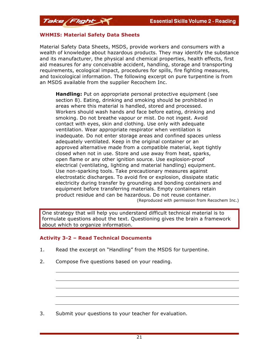

Material Safety Data Sheets, MSDS, provide workers and consumers with a wealth of knowledge about hazardous products. They may identify the substance and its manufacturer, the physical and chemical properties, health effects, first aid measures for any conceivable accident, handling, storage and transporting requirements, ecological impact, procedures for spills, fire fighting measures, and toxicological information. The following excerpt on pure turpentine is from an MSDS available from the supplier Recochem Inc.

**Handling:** Put on appropriate personal protective equipment (see section 8). Eating, drinking and smoking should be prohibited in areas where this material is handled, stored and processed. Workers should wash hands and face before eating, drinking and smoking. Do not breathe vapour or mist. Do not ingest. Avoid contact with eyes, skin and clothing. Use only with adequate ventilation. Wear appropriate respirator when ventilation is inadequate. Do not enter storage areas and confined spaces unless adequately ventilated. Keep in the original container or an approved alternative made from a compatible material, kept tightly closed when not in use. Store and use away from heat, sparks, open flame or any other ignition source. Use explosion-proof electrical (ventilating, lighting and material handling) equipment. Use non-sparking tools. Take precautionary measures against electrostatic discharges. To avoid fire or explosion, dissipate static electricity during transfer by grounding and bonding containers and equipment before transferring materials. Empty containers retain product residue and can be hazardous. Do not reuse container. (Reproduced with permission from Recochem Inc.)

One strategy that will help you understand difficult technical material is to formulate questions about the text. Questioning gives the brain a framework about which to organize information.

#### **Activity 3-2 – Read Technical Documents**

- 1. Read the excerpt on "Handling" from the MSDS for turpentine.
- 2. Compose five questions based on your reading.

3. Submit your questions to your teacher for evaluation.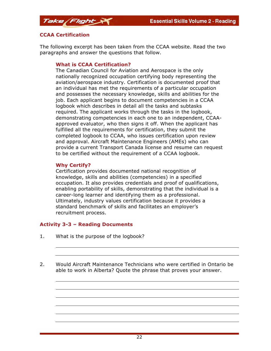

The following excerpt has been taken from the CCAA website. Read the two paragraphs and answer the questions that follow.

#### **What is CCAA Certification?**

The Canadian Council for Aviation and Aerospace is the only nationally recognized occupation certifying body representing the aviation/aerospace industry. Certification is documented proof that an individual has met the requirements of a particular occupation and possesses the necessary knowledge, skills and abilities for the job. Each applicant begins to document competencies in a CCAA logbook which describes in detail all the tasks and subtasks required. The applicant works through the tasks in the logbook, demonstrating competencies in each one to an independent, CCAAapproved evaluator, who then signs it off. When the applicant has fulfilled all the requirements for certification, they submit the completed logbook to CCAA, who issues certification upon review and approval. Aircraft Maintenance Engineers (AMEs) who can provide a current Transport Canada license and resume can request to be certified without the requirement of a CCAA logbook.

#### **Why Certify?**

Certification provides documented national recognition of knowledge, skills and abilities (competencies) in a specified occupation. It also provides credentials and proof of qualifications, enabling portability of skills, demonstrating that the individual is a career-long learner and identifying them as a professional. Ultimately, industry values certification because it provides a standard benchmark of skills and facilitates an employer's recruitment process.

#### **Activity 3-3 – Reading Documents**

- 1. What is the purpose of the logbook?
- 2. Would Aircraft Maintenance Technicians who were certified in Ontario be able to work in Alberta? Quote the phrase that proves your answer.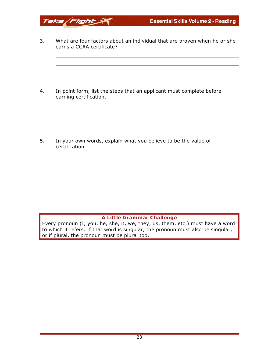3. What are four factors about an individual that are proven when he or she earns a CCAA certificate?

Take Flight

4. In point form, list the steps that an applicant must complete before earning certification.

5. In your own words, explain what you believe to be the value of certification.

#### **A Little Grammar Challenge**

Every pronoun (I, you, he, she, it, we, they, us, them, etc.) must have a word to which it refers. If that word is singular, the pronoun must also be singular, or if plural, the pronoun must be plural too.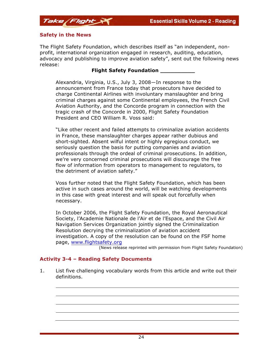

The Flight Safety Foundation, which describes itself as "an independent, nonprofit, international organization engaged in research, auditing, education, advocacy and publishing to improve aviation safety", sent out the following news release:

#### **Flight Safety Foundation \_\_\_\_\_\_\_\_\_\_**

Alexandria, Virginia, U.S., July 3, 2008—In response to the announcement from France today that prosecutors have decided to charge Continental Airlines with involuntary manslaughter and bring criminal charges against some Continental employees, the French Civil Aviation Authority, and the Concorde program in connection with the tragic crash of the Concorde in 2000, Flight Safety Foundation President and CEO William R. Voss said:

"Like other recent and failed attempts to criminalize aviation accidents in France, these manslaughter charges appear rather dubious and short-sighted. Absent wilful intent or highly egregious conduct, we seriously question the basis for putting companies and aviation professionals through the ordeal of criminal prosecutions. In addition, we're very concerned criminal prosecutions will discourage the free flow of information from operators to management to regulators, to the detriment of aviation safety."

Voss further noted that the Flight Safety Foundation, which has been active in such cases around the world, will be watching developments in this case with great interest and will speak out forcefully when necessary.

In October 2006, the Flight Safety Foundation, the Royal Aeronautical Society, l'Academie Nationale de l'Air et de l'Espace, and the Civil Air Navigation Services Organization jointly signed the Criminalization Resolution decrying the criminalization of aviation accident investigation. A copy of the resolution can be found on the FSF home page, www.flightsafety.org

(News release reprinted with permission from Flight Safety Foundation)

#### **Activity 3-4 – Reading Safety Documents**

1. List five challenging vocabulary words from this article and write out their definitions.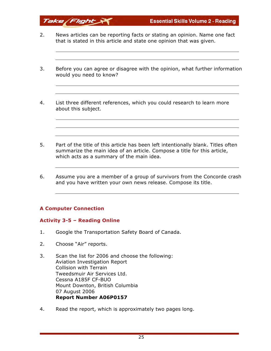- 2. News articles can be reporting facts or stating an opinion. Name one fact that is stated in this article and state one opinion that was given.
- 3. Before you can agree or disagree with the opinion, what further information would you need to know?
- 4. List three different references, which you could research to learn more about this subject.
- 5. Part of the title of this article has been left intentionally blank. Titles often summarize the main idea of an article. Compose a title for this article, which acts as a summary of the main idea.
- 6. Assume you are a member of a group of survivors from the Concorde crash and you have written your own news release. Compose its title.

#### **A Computer Connection**

Take Flight

#### **Activity 3-5 – Reading Online**

- 1. Google the Transportation Safety Board of Canada.
- 2. Choose "Air" reports.
- 3. Scan the list for 2006 and choose the following: Aviation Investigation Report Collision with Terrain Tweedsmuir Air Services Ltd. Cessna A185F CF-BUO Mount Downton, British Columbia 07 August 2006 **Report Number A06P0157**
- 4. Read the report, which is approximately two pages long.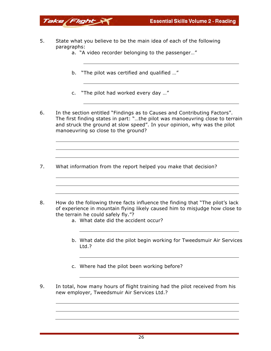- 5. State what you believe to be the main idea of each of the following paragraphs:
	- a. "A video recorder belonging to the passenger…"
	- b. "The pilot was certified and qualified …"
	- c. "The pilot had worked every day …"
- 6. In the section entitled "Findings as to Causes and Contributing Factors". The first finding states in part: "…the pilot was manoeuvring close to terrain and struck the ground at slow speed". In your opinion, why was the pilot manoeuvring so close to the ground?
- 7. What information from the report helped you make that decision?
- 8. How do the following three facts influence the finding that "The pilot's lack of experience in mountain flying likely caused him to misjudge how close to the terrain he could safely fly."?
	- a. What date did the accident occur?
	- b. What date did the pilot begin working for Tweedsmuir Air Services Ltd.?
	- c. Where had the pilot been working before?
- 9. In total, how many hours of flight training had the pilot received from his new employer, Tweedsmuir Air Services Ltd.?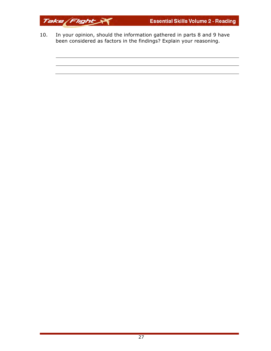

10. In your opinion, should the information gathered in parts 8 and 9 have been considered as factors in the findings? Explain your reasoning.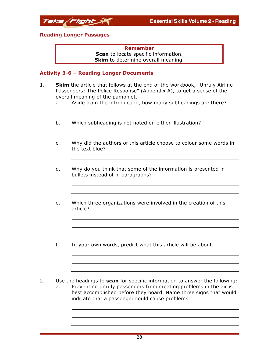

#### **Reading Longer Passages**

**Remember Scan** to locate specific information. **Skim** to determine overall meaning.

## **Activity 3-6 – Reading Longer Documents**

- 1. **Skim** the article that follows at the end of the workbook, "Unruly Airline Passengers: The Police Response" (Appendix A), to get a sense of the overall meaning of the pamphlet.
	- a. Aside from the introduction, how many subheadings are there?
	- b. Which subheading is not noted on either illustration?
	- c. Why did the authors of this article choose to colour some words in the text blue?
	- d. Why do you think that some of the information is presented in bullets instead of in paragraphs?
	- e. Which three organizations were involved in the creation of this article?
	- f. In your own words, predict what this article will be about.
- 2. Use the headings to **scan** for specific information to answer the following:
	- a. Preventing unruly passengers from creating problems in the air is best accomplished before they board. Name three signs that would indicate that a passenger could cause problems.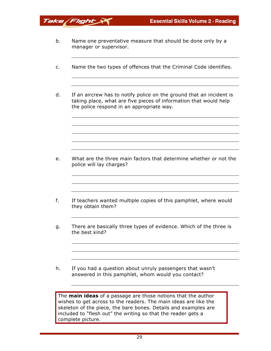b. Name one preventative measure that should be done only by a manager or supervisor.

Take Flight

- c. Name the two types of offences that the Criminal Code identifies.
- d. If an aircrew has to notify police on the ground that an incident is taking place, what are five pieces of information that would help the police respond in an appropriate way.

- e. What are the three main factors that determine whether or not the police will lay charges?
- f. If teachers wanted multiple copies of this pamphlet, where would they obtain them?
- g. There are basically three types of evidence. Which of the three is the best kind?
- h. If you had a question about unruly passengers that wasn't answered in this pamphlet, whom would you contact?

The **main ideas** of a passage are those notions that the author wishes to get across to the readers. The main ideas are like the skeleton of the piece, the bare bones. Details and examples are included to "flesh out" the writing so that the reader gets a complete picture.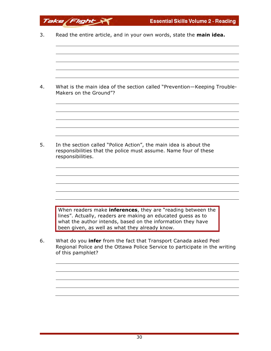| 3. | Read the entire article, and in your own words, state the main idea.                                                                                                                                                                                 |
|----|------------------------------------------------------------------------------------------------------------------------------------------------------------------------------------------------------------------------------------------------------|
|    |                                                                                                                                                                                                                                                      |
|    |                                                                                                                                                                                                                                                      |
| 4. | What is the main idea of the section called "Prevention-Keeping Trouble-<br>Makers on the Ground"?                                                                                                                                                   |
|    |                                                                                                                                                                                                                                                      |
| 5. | In the section called "Police Action", the main idea is about the<br>responsibilities that the police must assume. Name four of these<br>responsibilities.                                                                                           |
|    |                                                                                                                                                                                                                                                      |
|    | When readers make <b>inferences</b> , they are "reading between the<br>lines". Actually, readers are making an educated guess as to<br>what the author intends, based on the information they have<br>been given, as well as what they already know. |
| 6. | What do you <b>infer</b> from the fact that Transport Canada asked Peel<br>Regional Police and the Ottawa Police Service to participate in the writing<br>of this pamphlet?                                                                          |
|    |                                                                                                                                                                                                                                                      |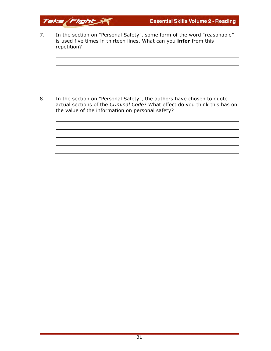7. In the section on "Personal Safety", some form of the word "reasonable" is used five times in thirteen lines. What can you **infer** from this repetition?

Take Flight

8. In the section on "Personal Safety", the authors have chosen to quote actual sections of the *Criminal Code*? What effect do you think this has on the value of the information on personal safety?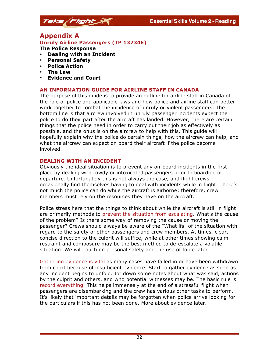## **Appendix A**

#### **Unruly Airline Passengers (TP 13734E)**

**The Police Response**

- **Dealing with an Incident**
- **Personal Safety**
- **Police Action**
- **The Law**
- **Evidence and Court**

#### **AN INFORMATION GUIDE FOR AIRLINE STAFF IN CANADA**

The purpose of this guide is to provide an outline for airline staff in Canada of the role of police and applicable laws and how police and airline staff can better work together to combat the incidence of unruly or violent passengers. The bottom line is that aircrew involved in unruly passenger incidents expect the police to do their part after the aircraft has landed. However, there are certain things that the police need in order to carry out their job as effectively as possible, and the onus is on the aircrew to help with this. This guide will hopefully explain why the police do certain things, how the aircrew can help, and what the aircrew can expect on board their aircraft if the police become involved.

#### **DEALING WITH AN INCIDENT**

Obviously the ideal situation is to prevent any on-board incidents in the first place by dealing with rowdy or intoxicated passengers prior to boarding or departure. Unfortunately this is not always the case, and flight crews occasionally find themselves having to deal with incidents while in flight. There's not much the police can do while the aircraft is airborne; therefore, crew members must rely on the resources they have on the aircraft.

Police stress here that the things to think about while the aircraft is still in flight are primarily methods to prevent the situation from escalating. What's the cause of the problem? Is there some way of removing the cause or moving the passenger? Crews should always be aware of the "What ifs" of the situation with regard to the safety of other passengers and crew members. At times, clear, concise direction to the culprit will suffice, while at other times showing calm restraint and composure may be the best method to de-escalate a volatile situation. We will touch on personal safety and the use of force later.

Gathering evidence is vital as many cases have failed in or have been withdrawn from court because of insufficient evidence. Start to gather evidence as soon as any incident begins to unfold. Jot down some notes about what was said, actions by the culprit and others, and who potential witnesses may be. The basic rule is record everything! This helps immensely at the end of a stressful flight when passengers are disembarking and the crew has various other tasks to perform. It's likely that important details may be forgotten when police arrive looking for the particulars if this has not been done. More about evidence later.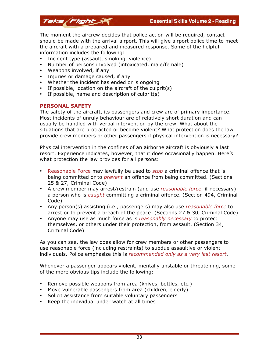The moment the aircrew decides that police action will be required, contact should be made with the arrival airport. This will give airport police time to meet the aircraft with a prepared and measured response. Some of the helpful information includes the following:

- Incident type (assault, smoking, violence)
- Number of persons involved (intoxicated, male/female)
- Weapons involved, if any
- Injuries or damage caused, if any
- Whether the incident has ended or is ongoing
- If possible, location on the aircraft of the culprit(s)
- If possible, name and description of culprit(s)

#### **PERSONAL SAFETY**

The safety of the aircraft, its passengers and crew are of primary importance. Most incidents of unruly behaviour are of relatively short duration and can usually be handled with verbal intervention by the crew. What about the situations that are protracted or become violent? What protection does the law provide crew members or other passengers if physical intervention is necessary?

Physical intervention in the confines of an airborne aircraft is obviously a last resort. Experience indicates, however, that it does occasionally happen. Here's what protection the law provides for all persons:

- Reasonable Force may lawfully be used to *stop* a criminal offence that is being committed or to *prevent* an offence from being committed. (Sections 25 & 27, Criminal Code)
- A crew member may arrest/restrain (and use *reasonable force*, if necessary) a person who is *caught* committing a criminal offence. (Section 494, Criminal Code)
- Any person(s) assisting (i.e., passengers) may also use *reasonable force* to arrest or to prevent a breach of the peace. (Sections 27 & 30, Criminal Code)
- Anyone may use as much force as is *reasonably necessary* to protect themselves, or others under their protection, from assault. (Section 34, Criminal Code)

As you can see, the law does allow for crew members or other passengers to use reasonable force (including restraints) to subdue assaultive or violent individuals. Police emphasize this is *recommended only as a very last resort*.

Whenever a passenger appears violent, mentally unstable or threatening, some of the more obvious tips include the following:

- Remove possible weapons from area (knives, bottles, etc.)
- Move vulnerable passengers from area (children, elderly)
- Solicit assistance from suitable voluntary passengers
- Keep the individual under watch at all times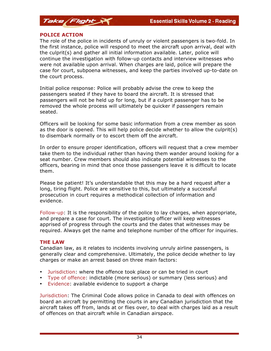

#### **POLICE ACTION**

The role of the police in incidents of unruly or violent passengers is two-fold. In the first instance, police will respond to meet the aircraft upon arrival, deal with the culprit(s) and gather all initial information available. Later, police will continue the investigation with follow-up contacts and interview witnesses who were not available upon arrival. When charges are laid, police will prepare the case for court, subpoena witnesses, and keep the parties involved up-to-date on the court process.

Initial police response: Police will probably advise the crew to keep the passengers seated if they have to board the aircraft. It is stressed that passengers will not be held up for long, but if a culprit passenger has to be removed the whole process will ultimately be quicker if passengers remain seated.

Officers will be looking for some basic information from a crew member as soon as the door is opened. This will help police decide whether to allow the culprit(s) to disembark normally or to escort them off the aircraft.

In order to ensure proper identification, officers will request that a crew member take them to the individual rather than having them wander around looking for a seat number. Crew members should also indicate potential witnesses to the officers, bearing in mind that once those passengers leave it is difficult to locate them.

Please be patient! It's understandable that this may be a hard request after a long, tiring flight. Police are sensitive to this, but ultimately a successful prosecution in court requires a methodical collection of information and evidence.

Follow-up: It is the responsibility of the police to lay charges, when appropriate, and prepare a case for court. The investigating officer will keep witnesses apprised of progress through the courts and the dates that witnesses may be required. Always get the name and telephone number of the officer for inquiries.

#### **THE LAW**

Canadian law, as it relates to incidents involving unruly airline passengers, is generally clear and comprehensive. Ultimately, the police decide whether to lay charges or make an arrest based on three main factors:

- Jurisdiction: where the offence took place or can be tried in court
- Type of offence: indictable (more serious) or summary (less serious) and
- Evidence: available evidence to support a charge

Jurisdiction: The Criminal Code allows police in Canada to deal with offences on board an aircraft by permitting the courts in any Canadian jurisdiction that the aircraft takes off from, lands at or flies over, to deal with charges laid as a result of offences on that aircraft while in Canadian airspace.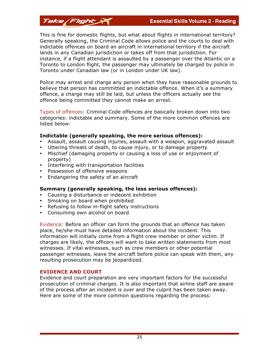This is fine for domestic flights, but what about flights in international territory? Generally speaking, the Criminal Code allows police and the courts to deal with indictable offences on board an aircraft in international territory if the aircraft lands in any Canadian jurisdiction or takes off from that jurisdiction. For instance, if a flight attendant is assaulted by a passenger over the Atlantic on a Toronto to London flight, the passenger may ultimately be charged by police in Toronto under Canadian law (or in London under UK law).

Police may arrest and charge any person when they have reasonable grounds to believe that person has committed an indictable offence. When it's a summary offence, a charge may still be laid, but unless the officers actually see the offence being committed they cannot make an arrest.

Types of offences: Criminal Code offences are basically broken down into two categories: indictable and summary. Some of the more common offences are listed below:

#### **Indictable (generally speaking, the more serious offences):**

- Assault, assault causing injuries, assault with a weapon, aggravated assault
- Uttering threats of death, to cause injury, or to damage property
- Mischief (damaging property or causing a loss of use or enjoyment of property)
- Interfering with transportation facilities
- Possession of offensive weapons

Take Flight

• Endangering the safety of an aircraft

#### **Summary (generally speaking, the less serious offences):**

- Causing a disturbance or indecent exhibition
- Smoking on board when prohibited
- Refusing to follow in-flight safety instructions
- Consuming own alcohol on board

Evidence: Before an officer can form the grounds that an offence has taken place, he/she must have detailed information about the incident. This information will initially come from a flight crew member or other victim. If charges are likely, the officers will want to take written statements from most witnesses. If vital witnesses, such as crew members or other potential passenger witnesses, leave the aircraft before police can speak with them, any resulting prosecution may be jeopardized.

#### **EVIDENCE AND COURT**

Evidence and court preparation are very important factors for the successful prosecution of criminal charges. It is also important that airline staff are aware of the process after an incident is over and the culprit has been taken away. Here are some of the more common questions regarding the process: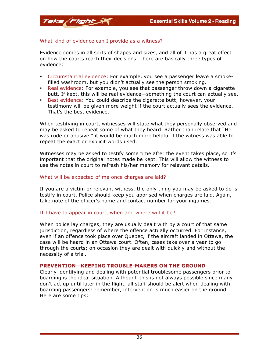#### What kind of evidence can I provide as a witness?

Evidence comes in all sorts of shapes and sizes, and all of it has a great effect on how the courts reach their decisions. There are basically three types of evidence:

- Circumstantial evidence: For example, you see a passenger leave a smokefilled washroom, but you didn't actually see the person smoking.
- Real evidence: For example, you see that passenger throw down a cigarette butt. If kept, this will be real evidence—something the court can actually see.
- Best evidence: You could describe the cigarette butt; however, your testimony will be given more weight if the court actually sees the evidence. That's the best evidence.

When testifying in court, witnesses will state what they personally observed and may be asked to repeat some of what they heard. Rather than relate that "He was rude or abusive," it would be much more helpful if the witness was able to repeat the exact or explicit words used.

Witnesses may be asked to testify some time after the event takes place, so it's important that the original notes made be kept. This will allow the witness to use the notes in court to refresh his/her memory for relevant details.

#### What will be expected of me once charges are laid?

If you are a victim or relevant witness, the only thing you may be asked to do is testify in court. Police should keep you apprised when charges are laid. Again, take note of the officer's name and contact number for your inquiries.

#### If I have to appear in court, when and where will it be?

When police lay charges, they are usually dealt with by a court of that same jurisdiction, regardless of where the offence actually occurred. For instance, even if an offence took place over Quebec, if the aircraft landed in Ottawa, the case will be heard in an Ottawa court. Often, cases take over a year to go through the courts; on occasion they are dealt with quickly and without the necessity of a trial.

#### **PREVENTION—KEEPING TROUBLE-MAKERS ON THE GROUND**

Clearly identifying and dealing with potential troublesome passengers prior to boarding is the ideal situation. Although this is not always possible since many don't act up until later in the flight, all staff should be alert when dealing with boarding passengers: remember, intervention is much easier on the ground. Here are some tips: